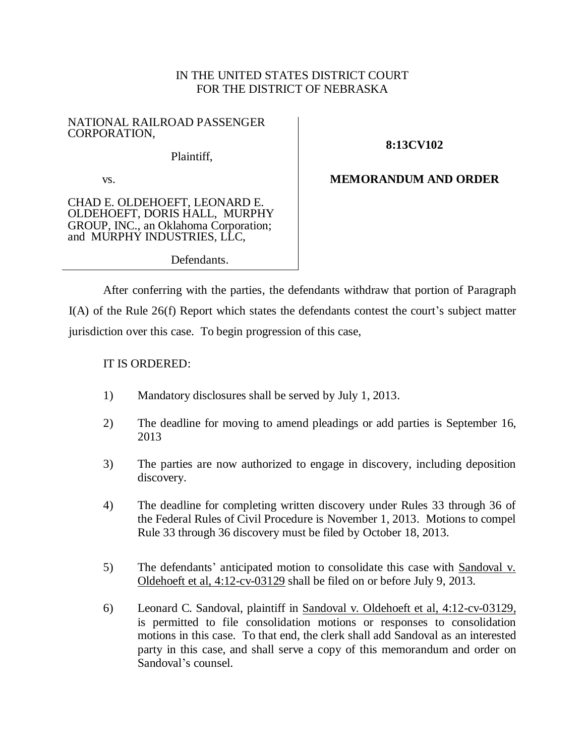## IN THE UNITED STATES DISTRICT COURT FOR THE DISTRICT OF NEBRASKA

#### NATIONAL RAILROAD PASSENGER CORPORATION,

Plaintiff,

# **8:13CV102**

#### vs.

CHAD E. OLDEHOEFT, LEONARD E. OLDEHOEFT, DORIS HALL, MURPHY GROUP, INC., an Oklahoma Corporation; and MURPHY INDUSTRIES, LLC,

# **MEMORANDUM AND ORDER**

Defendants.

After conferring with the parties, the defendants withdraw that portion of Paragraph I(A) of the Rule 26(f) Report which states the defendants contest the court's subject matter jurisdiction over this case. To begin progression of this case,

## IT IS ORDERED:

- 1) Mandatory disclosures shall be served by July 1, 2013.
- 2) The deadline for moving to amend pleadings or add parties is September 16, 2013
- 3) The parties are now authorized to engage in discovery, including deposition discovery.
- 4) The deadline for completing written discovery under Rules 33 through 36 of the Federal Rules of Civil Procedure is November 1, 2013. Motions to compel Rule 33 through 36 discovery must be filed by October 18, 2013.
- 5) The defendants' anticipated motion to consolidate this case with Sandoval v. Oldehoeft et al, 4:12-cv-03129 shall be filed on or before July 9, 2013.
- 6) Leonard C. Sandoval, plaintiff in Sandoval v. Oldehoeft et al, 4:12-cv-03129, is permitted to file consolidation motions or responses to consolidation motions in this case. To that end, the clerk shall add Sandoval as an interested party in this case, and shall serve a copy of this memorandum and order on Sandoval's counsel.